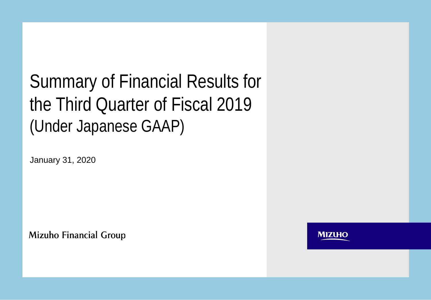# Summary of Financial Results for the Third Quarter of Fiscal 2019 (Under Japanese GAAP)

January 31, 2020

**Mizuho Financial Group** 

**MIZUHO**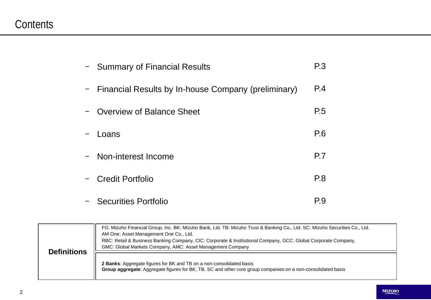## **Contents**

| - Summary of Financial Results                        | P <sub>3</sub> |
|-------------------------------------------------------|----------------|
| - Financial Results by In-house Company (preliminary) | P.4            |
| <b>Overview of Balance Sheet</b>                      | P.5            |
| Loans                                                 | P.6            |
| - Non-interest Income                                 | P.7            |
| - Credit Portfolio                                    | P.8            |
| - Securities Portfolio                                | P.9            |

|                    | FG: Mizuho Financial Group, Inc. BK: Mizuho Bank, Ltd. TB: Mizuho Trust & Banking Co., Ltd. SC: Mizuho Securities Co., Ltd.<br>AM One: Asset Management One Co., Ltd.<br>RBC: Retail & Business Banking Company, CIC: Corporate & Institutional Company, GCC: Global Corporate Company,<br>GMC: Global Markets Company, AMC: Asset Management Company |
|--------------------|-------------------------------------------------------------------------------------------------------------------------------------------------------------------------------------------------------------------------------------------------------------------------------------------------------------------------------------------------------|
| <b>Definitions</b> | 2 Banks: Aggregate figures for BK and TB on a non-consolidated basis<br>Group aggregate: Aggregate figures for BK, TB, SC and other core group companies on a non-consolidated basis                                                                                                                                                                  |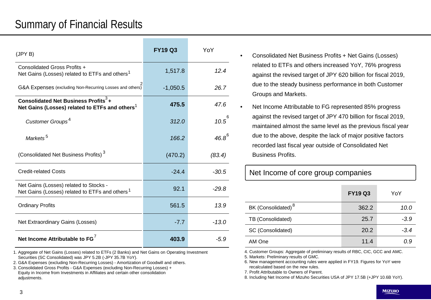## Summary of Financial Results

| (JPYB)                                                                                                         | <b>FY19 Q3</b> | YoY        |
|----------------------------------------------------------------------------------------------------------------|----------------|------------|
| Consolidated Gross Profits +<br>Net Gains (Losses) related to ETFs and others <sup>1</sup>                     | 1,517.8        | 12.4       |
| G&A Expenses (excluding Non-Recurring Losses and others)                                                       | $-1,050.5$     | 26.7       |
| Consolidated Net Business Profits <sup>3</sup> +<br>Net Gains (Losses) related to ETFs and others <sup>1</sup> | 475.5          | 47.6       |
| Customer Groups <sup>4</sup>                                                                                   | 312.0          | $10.5^6$   |
| Markets <sup>5</sup>                                                                                           | 166.2          | $46.8^{6}$ |
| (Consolidated Net Business Profits) <sup>3</sup>                                                               | (470.2)        | (83.4)     |
| <b>Credit-related Costs</b>                                                                                    | $-24.4$        | $-30.5$    |
| Net Gains (Losses) related to Stocks -<br>Net Gains (Losses) related to ETFs and others <sup>1</sup>           | 92.1           | $-29.8$    |
| <b>Ordinary Profits</b>                                                                                        | 561.5          | 13.9       |
| Net Extraordinary Gains (Losses)                                                                               | $-7.7$         | $-13.0$    |
| Net Income Attributable to FG <sup>7</sup>                                                                     | 403.9          | $-5.9$     |

1. Aggregate of Net Gains (Losses) related to ETFs (2 Banks) and Net Gains on Operating Investment Securities (SC Consolidated) was JPY 5.2B (-JPY 35.7B YoY).

2. G&A Expenses (excluding Non-Recurring Losses) - Amortization of Goodwill and others.

3. Consolidated Gross Profits - G&A Expenses (excluding Non-Recurring Losses) + Equity in Income from Investments in Affiliates and certain other consolidation adjustments.

- Consolidated Net Business Profits + Net Gains (Losses) related to ETFs and others increased YoY, 76% progress against the revised target of JPY 620 billion for fiscal 2019, due to the steady business performance in both Customer Groups and Markets.
- Net Income Attributable to FG represented 85% progress against the revised target of JPY 470 billion for fiscal 2019, maintained almost the same level as the previous fiscal year due to the above, despite the lack of major positive factors recorded last fiscal year outside of Consolidated Net Business Profits.

Net Income of core group companies

|                                | <b>FY19 Q3</b> | YoY    |
|--------------------------------|----------------|--------|
| BK (Consolidated) <sup>8</sup> | 362.2          | 10.0   |
| TB (Consolidated)              | 25.7           | $-3.9$ |
| SC (Consolidated)              | 20.2           | $-3.4$ |
| AM One                         | 11.4           | 0.9    |
|                                |                |        |

4. Customer Groups: Aggregate of preliminary results of RBC, CIC, GCC and AMC.

5. Markets: Preliminary results of GMC.

6. New management accounting rules were applied in FY19. Figures for YoY were recalculated based on the new rules.

7. Profit Attributable to Owners of Parent.

8. Including Net Income of Mizuho Securities USA of JPY 17.5B (+JPY 10.6B YoY).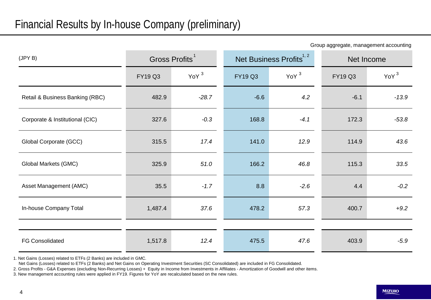Group aggregate, management accounting

| (JPYB)                          | Gross Profits <sup>1</sup> |                    |                | Net Business Profits <sup>1, 2</sup> | Net Income     |                  |  |
|---------------------------------|----------------------------|--------------------|----------------|--------------------------------------|----------------|------------------|--|
|                                 | <b>FY19 Q3</b>             | $YoY$ <sup>3</sup> | <b>FY19 Q3</b> | YoY <sup>3</sup>                     | <b>FY19 Q3</b> | YoY <sup>3</sup> |  |
| Retail & Business Banking (RBC) | 482.9                      | $-28.7$            | $-6.6$         | 4.2                                  | $-6.1$         | $-13.9$          |  |
| Corporate & Institutional (CIC) | 327.6                      | $-0.3$             | 168.8          | $-4.1$                               | 172.3          | $-53.8$          |  |
| Global Corporate (GCC)          | 315.5                      | 17.4               | 141.0          | 12.9                                 | 114.9          | 43.6             |  |
| Global Markets (GMC)            | 325.9                      | 51.0               | 166.2          | 46.8                                 | 115.3          | 33.5             |  |
| Asset Management (AMC)          | 35.5                       | $-1.7$             | 8.8            | $-2.6$                               | 4.4            | $-0.2$           |  |
| In-house Company Total          | 1,487.4                    | 37.6               | 478.2          | 57.3                                 | 400.7          | $+9.2$           |  |
|                                 |                            |                    |                |                                      |                |                  |  |
| <b>FG Consolidated</b>          | 1,517.8                    | 12.4               | 475.5          | 47.6                                 | 403.9          | $-5.9$           |  |

1. Net Gains (Losses) related to ETFs (2 Banks) are included in GMC.

Net Gains (Losses) related to ETFs (2 Banks) and Net Gains on Operating Investment Securities (SC Consolidated) are included in FG Consolidated.

2. Gross Profits - G&A Expenses (excluding Non-Recurring Losses) + Equity in Income from Investments in Affiliates - Amortization of Goodwill and other items.

3. New management accounting rules were applied in FY19. Figures for YoY are recalculated based on the new rules.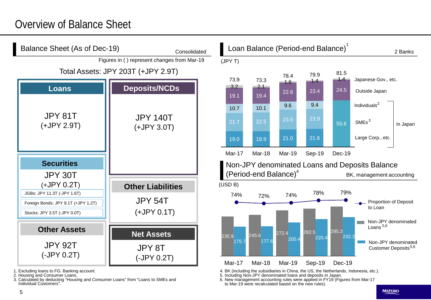## Overview of Balance Sheet



5. Including Non-JPY denominated loans and deposits in Japan.

to Mar-19 were recalculated based on the new rules).

6. New management accounting rules were applied in FY19 (Figures from Mar-17

3. Calculated by deducting "Housing and Consumer Loans" from "Loans to SMEs and Individual Customers".

<sup>2.</sup> Housing and Consumer Loans.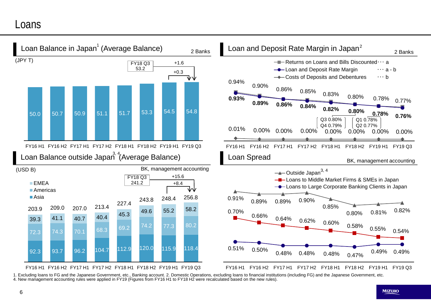#### Loans



1. Excluding loans to FG and the Japanese Government, etc., Banking account. 2. Domestic Operations, excluding loans to financial institutions (including FG) and the Japanese Government, etc. 4. New management accounting rules were applied in FY19 (Figures from FY16 H1 to FY18 H2 were recalculated based on the new rules).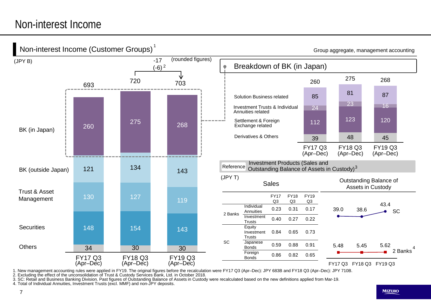### Non-interest Income



1. New management accounting rules were applied in FY19. The original figures before the recalculation were FY17 Q3 (Apr–Dec): JPY 683B and FY18 Q3 (Apr–Dec): JPY 710B.<br>2. Excluding the effect of the unconsolidation of Tru

3. SC: Retail and Business Banking Division. Past figures of Outstanding Balance of Assets in Custody were recalculated based on the new definitions applied from Mar-19.

4. Total of Individual Annuities, Investment Trusts (excl. MMF) and non-JPY deposits.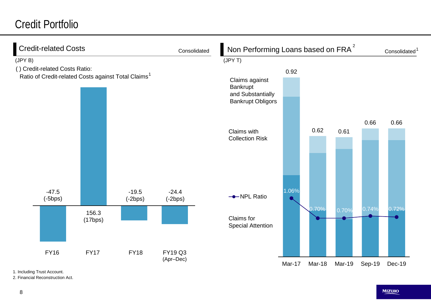# Credit Portfolio

| <b>Credit-related Costs</b>                                     |                  |                      | Consolidated                |                                                                             | Non Performing Loans based on FRA <sup>2</sup> |        |        |        | Consolidated <sup>1</sup> |  |
|-----------------------------------------------------------------|------------------|----------------------|-----------------------------|-----------------------------------------------------------------------------|------------------------------------------------|--------|--------|--------|---------------------------|--|
| (JPYB)                                                          |                  |                      |                             | (JPYT)                                                                      |                                                |        |        |        |                           |  |
| () Credit-related Costs Ratio:                                  |                  |                      |                             |                                                                             | 0.92                                           |        |        |        |                           |  |
| Ratio of Credit-related Costs against Total Claims <sup>1</sup> |                  |                      |                             | Claims against<br>Bankrupt<br>and Substantially<br><b>Bankrupt Obligors</b> |                                                |        |        |        |                           |  |
|                                                                 |                  |                      |                             | Claims with<br><b>Collection Risk</b>                                       |                                                | 0.62   | 0.61   | 0.66   | 0.66                      |  |
| $-47.5$<br>$(-5bps)$                                            |                  | $-19.5$<br>$(-2bps)$ | $-24.4$<br>$(-2bps)$        | --NPL Ratio                                                                 | 1.06%                                          |        |        |        |                           |  |
|                                                                 | 156.3<br>(17bps) |                      |                             | Claims for<br><b>Special Attention</b>                                      |                                                | 0.70%  | 0.70%  | 0.74%  | 0.72%                     |  |
| <b>FY16</b>                                                     | <b>FY17</b>      | <b>FY18</b>          | <b>FY19 Q3</b><br>(Apr-Dec) |                                                                             | Mar-17                                         | Mar-18 | Mar-19 | Sep-19 | Dec-19                    |  |

1. Including Trust Account.

2. Financial Reconstruction Act.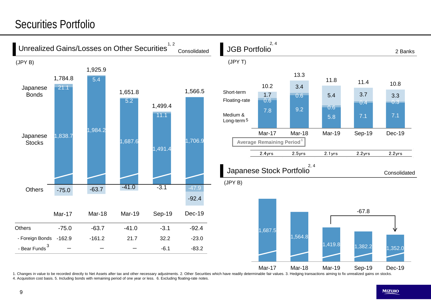# Securities Portfolio



1. Changes in value to be recorded directly to Net Assets after tax and other necessary adjustments. 2. Other Securities which have readily determinable fair values. 3. Hedging transactions aiming to fix unrealized gains o 4. Acquisition cost basis. 5. Including bonds with remaining period of one year or less. 6. Excluding floating-rate notes.